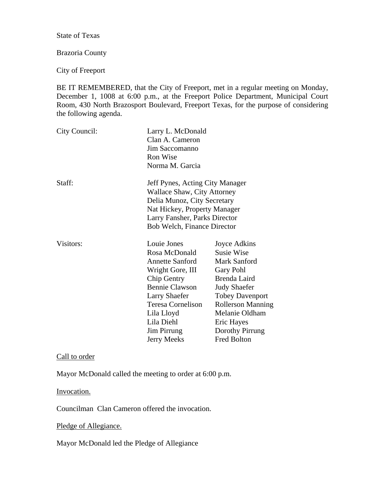State of Texas

## Brazoria County

City of Freeport

BE IT REMEMBERED, that the City of Freeport, met in a regular meeting on Monday, December 1, 1008 at 6:00 p.m., at the Freeport Police Department, Municipal Court Room, 430 North Brazosport Boulevard, Freeport Texas, for the purpose of considering the following agenda.

| City Council: | Larry L. McDonald<br>Clan A. Cameron<br>Jim Saccomanno<br>Ron Wise<br>Norma M. Garcia                                                                                                                                                          |                                                                                                                                                                                                                                      |
|---------------|------------------------------------------------------------------------------------------------------------------------------------------------------------------------------------------------------------------------------------------------|--------------------------------------------------------------------------------------------------------------------------------------------------------------------------------------------------------------------------------------|
| Staff:        | Jeff Pynes, Acting City Manager<br><b>Wallace Shaw, City Attorney</b><br>Delia Munoz, City Secretary<br>Nat Hickey, Property Manager<br>Larry Fansher, Parks Director<br><b>Bob Welch, Finance Director</b>                                    |                                                                                                                                                                                                                                      |
| Visitors:     | Louie Jones<br>Rosa McDonald<br><b>Annette Sanford</b><br>Wright Gore, III<br>Chip Gentry<br><b>Bennie Clawson</b><br><b>Larry Shaefer</b><br><b>Teresa Cornelison</b><br>Lila Lloyd<br>Lila Diehl<br><b>Jim Pirrung</b><br><b>Jerry Meeks</b> | Joyce Adkins<br><b>Susie Wise</b><br><b>Mark Sanford</b><br>Gary Pohl<br>Brenda Laird<br><b>Judy Shaefer</b><br><b>Tobey Davenport</b><br><b>Rollerson Manning</b><br>Melanie Oldham<br>Eric Hayes<br>Dorothy Pirrung<br>Fred Bolton |

## Call to order

Mayor McDonald called the meeting to order at 6:00 p.m.

Invocation.

Councilman Clan Cameron offered the invocation.

Pledge of Allegiance.

Mayor McDonald led the Pledge of Allegiance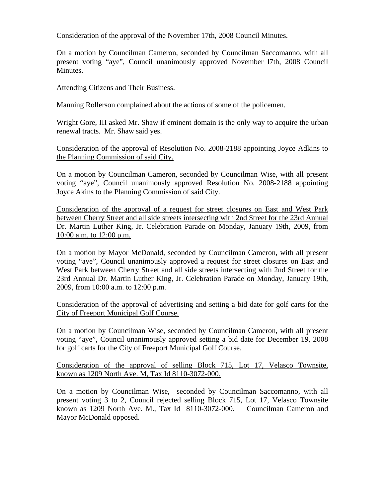## Consideration of the approval of the November 17th, 2008 Council Minutes.

On a motion by Councilman Cameron, seconded by Councilman Saccomanno, with all present voting "aye", Council unanimously approved November l7th, 2008 Council Minutes.

### Attending Citizens and Their Business.

Manning Rollerson complained about the actions of some of the policemen.

Wright Gore, III asked Mr. Shaw if eminent domain is the only way to acquire the urban renewal tracts. Mr. Shaw said yes.

Consideration of the approval of Resolution No. 2008-2188 appointing Joyce Adkins to the Planning Commission of said City.

On a motion by Councilman Cameron, seconded by Councilman Wise, with all present voting "aye", Council unanimously approved Resolution No. 2008-2188 appointing Joyce Akins to the Planning Commission of said City.

Consideration of the approval of a request for street closures on East and West Park between Cherry Street and all side streets intersecting with 2nd Street for the 23rd Annual Dr. Martin Luther King, Jr. Celebration Parade on Monday, January 19th, 2009, from 10:00 a.m. to 12:00 p.m.

On a motion by Mayor McDonald, seconded by Councilman Cameron, with all present voting "aye", Council unanimously approved a request for street closures on East and West Park between Cherry Street and all side streets intersecting with 2nd Street for the 23rd Annual Dr. Martin Luther King, Jr. Celebration Parade on Monday, January 19th, 2009, from 10:00 a.m. to 12:00 p.m.

Consideration of the approval of advertising and setting a bid date for golf carts for the City of Freeport Municipal Golf Course.

On a motion by Councilman Wise, seconded by Councilman Cameron, with all present voting "aye", Council unanimously approved setting a bid date for December 19, 2008 for golf carts for the City of Freeport Municipal Golf Course.

Consideration of the approval of selling Block 715, Lot 17, Velasco Townsite, known as 1209 North Ave. M, Tax Id 8110-3072-000.

On a motion by Councilman Wise, seconded by Councilman Saccomanno, with all present voting 3 to 2, Council rejected selling Block 715, Lot 17, Velasco Townsite known as 1209 North Ave. M., Tax Id 8110-3072-000. Councilman Cameron and Mayor McDonald opposed.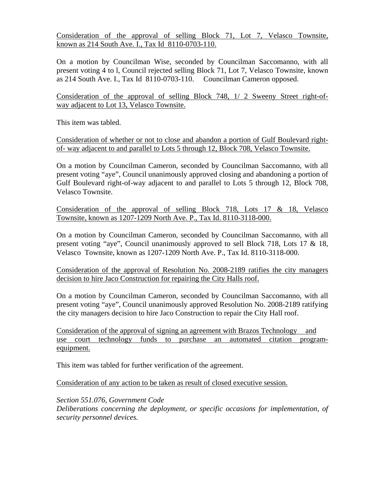Consideration of the approval of selling Block 71, Lot 7, Velasco Townsite, known as 214 South Ave. I., Tax Id 8110-0703-110.

On a motion by Councilman Wise, seconded by Councilman Saccomanno, with all present voting 4 to l, Council rejected selling Block 71, Lot 7, Velasco Townsite, known as 214 South Ave. I., Tax Id 8110-0703-110. Councilman Cameron opposed.

Consideration of the approval of selling Block 748, 1/ 2 Sweeny Street right-ofway adjacent to Lot 13, Velasco Townsite.

This item was tabled.

Consideration of whether or not to close and abandon a portion of Gulf Boulevard rightof- way adjacent to and parallel to Lots 5 through 12, Block 708, Velasco Townsite.

On a motion by Councilman Cameron, seconded by Councilman Saccomanno, with all present voting "aye", Council unanimously approved closing and abandoning a portion of Gulf Boulevard right-of-way adjacent to and parallel to Lots 5 through 12, Block 708, Velasco Townsite.

Consideration of the approval of selling Block 718, Lots 17 & 18, Velasco Townsite, known as 1207-1209 North Ave. P., Tax Id. 8110-3118-000.

On a motion by Councilman Cameron, seconded by Councilman Saccomanno, with all present voting "aye", Council unanimously approved to sell Block 718, Lots 17 & 18, Velasco Townsite, known as 1207-1209 North Ave. P., Tax Id. 8110-3118-000.

Consideration of the approval of Resolution No. 2008-2189 ratifies the city managers decision to hire Jaco Construction for repairing the City Halls roof.

On a motion by Councilman Cameron, seconded by Councilman Saccomanno, with all present voting "aye", Council unanimously approved Resolution No. 2008-2189 ratifying the city managers decision to hire Jaco Construction to repair the City Hall roof.

Consideration of the approval of signing an agreement with Brazos Technology and use court technology funds to purchase an automated citation programequipment.

This item was tabled for further verification of the agreement.

Consideration of any action to be taken as result of closed executive session.

*Section 551.076, Government Code Deliberations concerning the deployment, or specific occasions for implementation, of security personnel devices.*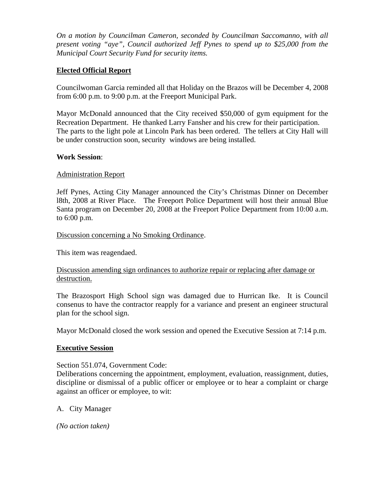*On a motion by Councilman Cameron, seconded by Councilman Saccomanno, with all present voting "aye", Council authorized Jeff Pynes to spend up to \$25,000 from the Municipal Court Security Fund for security items.* 

# **Elected Official Report**

Councilwoman Garcia reminded all that Holiday on the Brazos will be December 4, 2008 from 6:00 p.m. to 9:00 p.m. at the Freeport Municipal Park.

Mayor McDonald announced that the City received \$50,000 of gym equipment for the Recreation Department. He thanked Larry Fansher and his crew for their participation. The parts to the light pole at Lincoln Park has been ordered. The tellers at City Hall will be under construction soon, security windows are being installed.

### **Work Session**:

## Administration Report

Jeff Pynes, Acting City Manager announced the City's Christmas Dinner on December l8th, 2008 at River Place. The Freeport Police Department will host their annual Blue Santa program on December 20, 2008 at the Freeport Police Department from 10:00 a.m. to 6:00 p.m.

### Discussion concerning a No Smoking Ordinance.

This item was reagendaed.

## Discussion amending sign ordinances to authorize repair or replacing after damage or destruction.

The Brazosport High School sign was damaged due to Hurrican Ike. It is Council consenus to have the contractor reapply for a variance and present an engineer structural plan for the school sign.

Mayor McDonald closed the work session and opened the Executive Session at 7:14 p.m.

### **Executive Session**

### Section 551.074, Government Code:

Deliberations concerning the appointment, employment, evaluation, reassignment, duties, discipline or dismissal of a public officer or employee or to hear a complaint or charge against an officer or employee, to wit:

### A. City Manager

*(No action taken)*